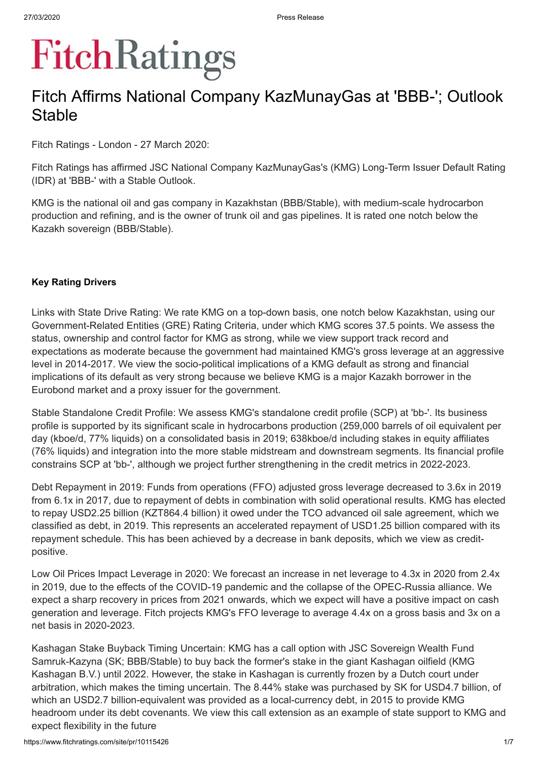# **FitchRatings**

## Fitch Affirms National Company KazMunayGas at 'BBB-'; Outlook **Stable**

Fitch Ratings - London - 27 March 2020:

Fitch Ratings has affirmed JSC National Company KazMunayGas's (KMG) Long-Term Issuer Default Rating (IDR) at 'BBB-' with a Stable Outlook.

KMG is the national oil and gas company in Kazakhstan (BBB/Stable), with medium-scale hydrocarbon production and refining, and is the owner of trunk oil and gas pipelines. It is rated one notch below the Kazakh sovereign (BBB/Stable).

#### **Key Rating Drivers**

Links with State Drive Rating: We rate KMG on a top-down basis, one notch below Kazakhstan, using our Government-Related Entities (GRE) Rating Criteria, under which KMG scores 37.5 points. We assess the status, ownership and control factor for KMG as strong, while we view support track record and expectations as moderate because the government had maintained KMG's gross leverage at an aggressive level in 2014-2017. We view the socio-political implications of a KMG default as strong and financial implications of its default as very strong because we believe KMG is a major Kazakh borrower in the Eurobond market and a proxy issuer for the government.

Stable Standalone Credit Profile: We assess KMG's standalone credit profile (SCP) at 'bb-'. Its business profile is supported by its significant scale in hydrocarbons production (259,000 barrels of oil equivalent per day (kboe/d, 77% liquids) on a consolidated basis in 2019; 638kboe/d including stakes in equity affiliates (76% liquids) and integration into the more stable midstream and downstream segments. Its financial profile constrains SCP at 'bb-', although we project further strengthening in the credit metrics in 2022-2023.

Debt Repayment in 2019: Funds from operations (FFO) adjusted gross leverage decreased to 3.6x in 2019 from 6.1x in 2017, due to repayment of debts in combination with solid operational results. KMG has elected to repay USD2.25 billion (KZT864.4 billion) it owed under the TCO advanced oil sale agreement, which we classified as debt, in 2019. This represents an accelerated repayment of USD1.25 billion compared with its repayment schedule. This has been achieved by a decrease in bank deposits, which we view as creditpositive.

Low Oil Prices Impact Leverage in 2020: We forecast an increase in net leverage to 4.3x in 2020 from 2.4x in 2019, due to the effects of the COVID-19 pandemic and the collapse of the OPEC-Russia alliance. We expect a sharp recovery in prices from 2021 onwards, which we expect will have a positive impact on cash generation and leverage. Fitch projects KMG's FFO leverage to average 4.4x on a gross basis and 3x on a net basis in 2020-2023.

Kashagan Stake Buyback Timing Uncertain: KMG has a call option with JSC Sovereign Wealth Fund Samruk-Kazyna (SK; BBB/Stable) to buy back the former's stake in the giant Kashagan oilfield (KMG Kashagan B.V.) until 2022. However, the stake in Kashagan is currently frozen by a Dutch court under arbitration, which makes the timing uncertain. The 8.44% stake was purchased by SK for USD4.7 billion, of which an USD2.7 billion-equivalent was provided as a local-currency debt, in 2015 to provide KMG headroom under its debt covenants. We view this call extension as an example of state support to KMG and expect flexibility in the future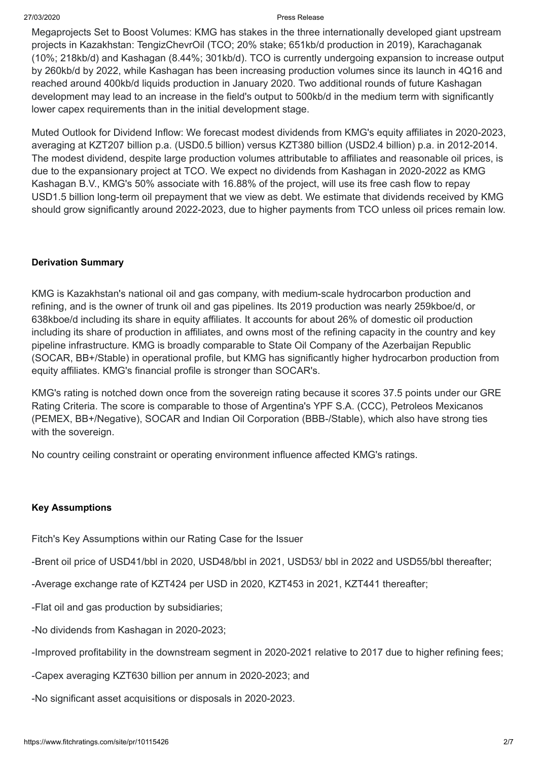Megaprojects Set to Boost Volumes: KMG has stakes in the three internationally developed giant upstream projects in Kazakhstan: TengizChevrOil (TCO; 20% stake; 651kb/d production in 2019), Karachaganak (10%; 218kb/d) and Kashagan (8.44%; 301kb/d). TCO is currently undergoing expansion to increase output by 260kb/d by 2022, while Kashagan has been increasing production volumes since its launch in 4Q16 and reached around 400kb/d liquids production in January 2020. Two additional rounds of future Kashagan development may lead to an increase in the field's output to 500kb/d in the medium term with significantly lower capex requirements than in the initial development stage.

Muted Outlook for Dividend Inflow: We forecast modest dividends from KMG's equity affiliates in 2020-2023, averaging at KZT207 billion p.a. (USD0.5 billion) versus KZT380 billion (USD2.4 billion) p.a. in 2012-2014. The modest dividend, despite large production volumes attributable to affiliates and reasonable oil prices, is due to the expansionary project at TCO. We expect no dividends from Kashagan in 2020-2022 as KMG Kashagan B.V., KMG's 50% associate with 16.88% of the project, will use its free cash flow to repay USD1.5 billion long-term oil prepayment that we view as debt. We estimate that dividends received by KMG should grow significantly around 2022-2023, due to higher payments from TCO unless oil prices remain low.

#### **Derivation Summary**

KMG is Kazakhstan's national oil and gas company, with medium-scale hydrocarbon production and refining, and is the owner of trunk oil and gas pipelines. Its 2019 production was nearly 259kboe/d, or 638kboe/d including its share in equity affiliates. It accounts for about 26% of domestic oil production including its share of production in affiliates, and owns most of the refining capacity in the country and key pipeline infrastructure. KMG is broadly comparable to State Oil Company of the Azerbaijan Republic (SOCAR, BB+/Stable) in operational profile, but KMG has significantly higher hydrocarbon production from equity affiliates. KMG's financial profile is stronger than SOCAR's.

KMG's rating is notched down once from the sovereign rating because it scores 37.5 points under our GRE Rating Criteria. The score is comparable to those of Argentina's YPF S.A. (CCC), Petroleos Mexicanos (PEMEX, BB+/Negative), SOCAR and Indian Oil Corporation (BBB-/Stable), which also have strong ties with the sovereign.

No country ceiling constraint or operating environment influence affected KMG's ratings.

#### **Key Assumptions**

Fitch's Key Assumptions within our Rating Case for the Issuer

-Brent oil price of USD41/bbl in 2020, USD48/bbl in 2021, USD53/ bbl in 2022 and USD55/bbl thereafter;

-Average exchange rate of KZT424 per USD in 2020, KZT453 in 2021, KZT441 thereafter;

-Flat oil and gas production by subsidiaries;

-No dividends from Kashagan in 2020-2023;

-Improved profitability in the downstream segment in 2020-2021 relative to 2017 due to higher refining fees;

-Capex averaging KZT630 billion per annum in 2020-2023; and

-No significant asset acquisitions or disposals in 2020-2023.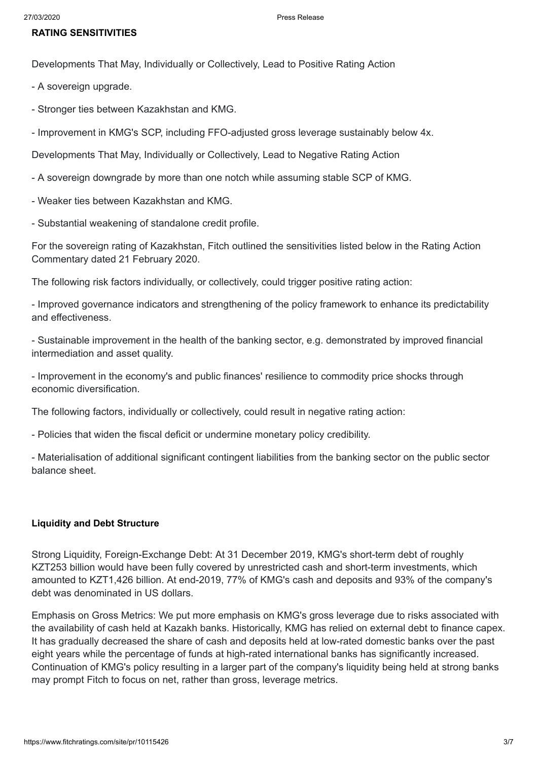#### **RATING SENSITIVITIES**

Developments That May, Individually or Collectively, Lead to Positive Rating Action

- A sovereign upgrade.
- Stronger ties between Kazakhstan and KMG.
- Improvement in KMG's SCP, including FFO-adjusted gross leverage sustainably below 4x.

Developments That May, Individually or Collectively, Lead to Negative Rating Action

- A sovereign downgrade by more than one notch while assuming stable SCP of KMG.
- Weaker ties between Kazakhstan and KMG.
- Substantial weakening of standalone credit profile.

For the sovereign rating of Kazakhstan, Fitch outlined the sensitivities listed below in the Rating Action Commentary dated 21 February 2020.

The following risk factors individually, or collectively, could trigger positive rating action:

- Improved governance indicators and strengthening of the policy framework to enhance its predictability and effectiveness.

- Sustainable improvement in the health of the banking sector, e.g. demonstrated by improved financial intermediation and asset quality.

- Improvement in the economy's and public finances' resilience to commodity price shocks through economic diversification.

The following factors, individually or collectively, could result in negative rating action:

- Policies that widen the fiscal deficit or undermine monetary policy credibility.

- Materialisation of additional significant contingent liabilities from the banking sector on the public sector balance sheet.

#### **Liquidity and Debt Structure**

Strong Liquidity, Foreign-Exchange Debt: At 31 December 2019, KMG's short-term debt of roughly KZT253 billion would have been fully covered by unrestricted cash and short-term investments, which amounted to KZT1,426 billion. At end-2019, 77% of KMG's cash and deposits and 93% of the company's debt was denominated in US dollars.

Emphasis on Gross Metrics: We put more emphasis on KMG's gross leverage due to risks associated with the availability of cash held at Kazakh banks. Historically, KMG has relied on external debt to finance capex. It has gradually decreased the share of cash and deposits held at low-rated domestic banks over the past eight years while the percentage of funds at high-rated international banks has significantly increased. Continuation of KMG's policy resulting in a larger part of the company's liquidity being held at strong banks may prompt Fitch to focus on net, rather than gross, leverage metrics.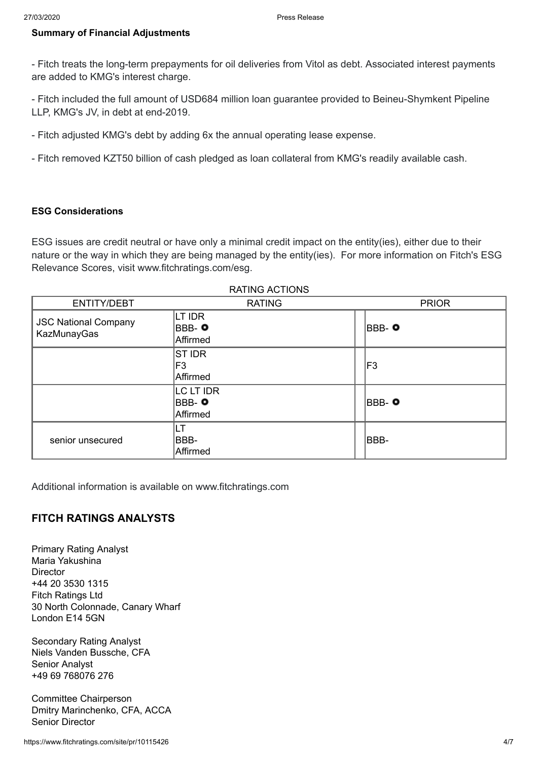#### **Summary of Financial Adjustments**

- Fitch treats the long-term prepayments for oil deliveries from Vitol as debt. Associated interest payments are added to KMG's interest charge.

- Fitch included the full amount of USD684 million loan guarantee provided to Beineu-Shymkent Pipeline LLP, KMG's JV, in debt at end-2019.

- Fitch adjusted KMG's debt by adding 6x the annual operating lease expense.

- Fitch removed KZT50 billion of cash pledged as loan collateral from KMG's readily available cash.

#### **ESG Considerations**

ESG issues are credit neutral or have only a minimal credit impact on the entity(ies), either due to their nature or the way in which they are being managed by the entity(ies). For more information on Fitch's ESG Relevance Scores, visit [www.fitchratings.com/esg.](https://www.fitchratings.com/esg)

| <b>ENTITY/DEBT</b>                                | <b>RATING</b>                   | <b>PRIOR</b> |
|---------------------------------------------------|---------------------------------|--------------|
| <b>JSC National Company</b><br><b>KazMunayGas</b> | LT IDR<br>BBB- O<br>Affirmed    | <b>BBB-O</b> |
|                                                   | ST IDR<br>IF3<br>Affirmed       | lF3          |
|                                                   | LC LT IDR<br>BBB- O<br>Affirmed | <b>BBB-O</b> |
| senior unsecured                                  | LT<br>BBB-<br>Affirmed          | BBB-         |

#### RATING ACTIONS

Additional information is available on www.fitchratings.com

#### **FITCH RATINGS ANALYSTS**

Primary Rating Analyst Maria Yakushina Director +44 20 3530 1315 Fitch Ratings Ltd 30 North Colonnade, Canary Wharf London E14 5GN

Secondary Rating Analyst Niels Vanden Bussche, CFA Senior Analyst +49 69 768076 276

Committee Chairperson Dmitry Marinchenko, CFA, ACCA Senior Director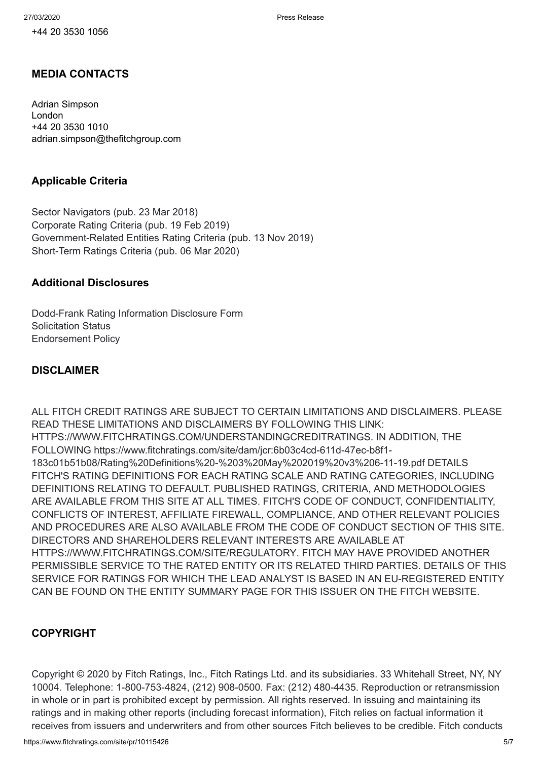#### **MEDIA CONTACTS**

Adrian Simpson London +44 20 3530 1010 adrian.simpson@thefitchgroup.com

#### **Applicable Criteria**

Sector [Navigators](https://www.fitchratings.com/site/re/10023790) (pub. 23 Mar 2018) [Corporate](https://www.fitchratings.com/site/re/10062582) Rating Criteria (pub. 19 Feb 2019) [Government-Related](https://www.fitchratings.com/site/re/10099139) Entities Rating Criteria (pub. 13 Nov 2019) [Short-Term](https://www.fitchratings.com/site/re/10112342) Ratings Criteria (pub. 06 Mar 2020)

#### **Additional Disclosures**

[Dodd-Frank](https://www.fitchratings.com/site/dodd-frank-disclosure/10115426) Rating Information Disclosure Form Solicitation Status [Endorsement](https://www.fitchratings.com/site/regulatory) Policy

#### **DISCLAIMER**

ALL FITCH CREDIT RATINGS ARE SUBJECT TO CERTAIN LIMITATIONS AND DISCLAIMERS. PLEASE READ THESE LIMITATIONS AND DISCLAIMERS BY FOLLOWING THIS LINK: [HTTPS://WWW.FITCHRATINGS.COM/UNDERSTANDINGCREDITRATINGS](https://www.fitchratings.com/UNDERSTANDINGCREDITRATINGS). IN ADDITION, THE FOLLOWING https://www.fitchratings.com/site/dam/jcr:6b03c4cd-611d-47ec-b8f1- 183c01b51b08/Rating%20Definitions%20-%203%20May%202019%20v3%206-11-19.pdf DETAILS FITCH'S RATING DEFINITIONS FOR EACH RATING SCALE AND RATING CATEGORIES, INCLUDING DEFINITIONS RELATING TO DEFAULT. PUBLISHED RATINGS, CRITERIA, AND METHODOLOGIES ARE AVAILABLE FROM THIS SITE AT ALL TIMES. FITCH'S CODE OF CONDUCT, CONFIDENTIALITY, CONFLICTS OF INTEREST, AFFILIATE FIREWALL, COMPLIANCE, AND OTHER RELEVANT POLICIES AND PROCEDURES ARE ALSO AVAILABLE FROM THE CODE OF CONDUCT SECTION OF THIS SITE. DIRECTORS AND SHAREHOLDERS RELEVANT INTERESTS ARE AVAILABLE AT [HTTPS://WWW.FITCHRATINGS.COM/SITE/REGULATORY](https://www.fitchratings.com/site/regulatory). FITCH MAY HAVE PROVIDED ANOTHER PERMISSIBLE SERVICE TO THE RATED ENTITY OR ITS RELATED THIRD PARTIES. DETAILS OF THIS SERVICE FOR RATINGS FOR WHICH THE LEAD ANALYST IS BASED IN AN EU-REGISTERED ENTITY CAN BE FOUND ON THE ENTITY SUMMARY PAGE FOR THIS ISSUER ON THE FITCH WEBSITE.

### **COPYRIGHT**

Copyright © 2020 by Fitch Ratings, Inc., Fitch Ratings Ltd. and its subsidiaries. 33 Whitehall Street, NY, NY 10004. Telephone: 1-800-753-4824, (212) 908-0500. Fax: (212) 480-4435. Reproduction or retransmission in whole or in part is prohibited except by permission. All rights reserved. In issuing and maintaining its ratings and in making other reports (including forecast information), Fitch relies on factual information it receives from issuers and underwriters and from other sources Fitch believes to be credible. Fitch conducts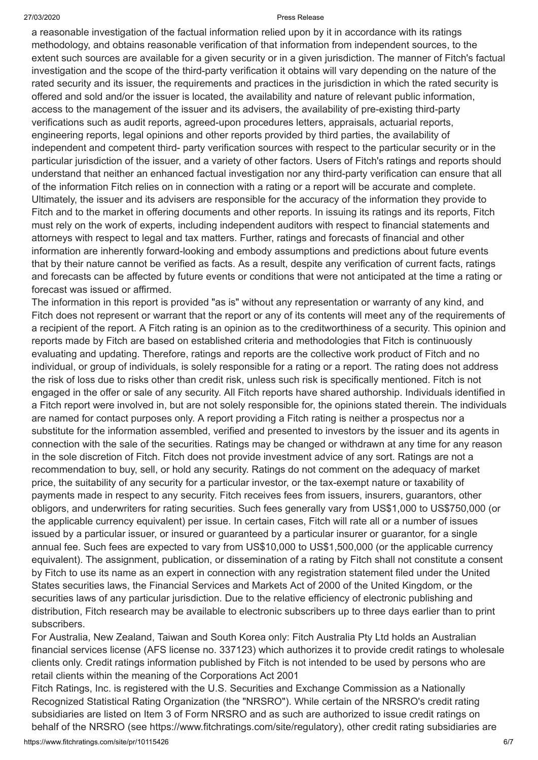a reasonable investigation of the factual information relied upon by it in accordance with its ratings methodology, and obtains reasonable verification of that information from independent sources, to the extent such sources are available for a given security or in a given jurisdiction. The manner of Fitch's factual investigation and the scope of the third-party verification it obtains will vary depending on the nature of the rated security and its issuer, the requirements and practices in the jurisdiction in which the rated security is offered and sold and/or the issuer is located, the availability and nature of relevant public information, access to the management of the issuer and its advisers, the availability of pre-existing third-party verifications such as audit reports, agreed-upon procedures letters, appraisals, actuarial reports, engineering reports, legal opinions and other reports provided by third parties, the availability of independent and competent third- party verification sources with respect to the particular security or in the particular jurisdiction of the issuer, and a variety of other factors. Users of Fitch's ratings and reports should understand that neither an enhanced factual investigation nor any third-party verification can ensure that all of the information Fitch relies on in connection with a rating or a report will be accurate and complete. Ultimately, the issuer and its advisers are responsible for the accuracy of the information they provide to Fitch and to the market in offering documents and other reports. In issuing its ratings and its reports, Fitch must rely on the work of experts, including independent auditors with respect to financial statements and attorneys with respect to legal and tax matters. Further, ratings and forecasts of financial and other information are inherently forward-looking and embody assumptions and predictions about future events that by their nature cannot be verified as facts. As a result, despite any verification of current facts, ratings and forecasts can be affected by future events or conditions that were not anticipated at the time a rating or forecast was issued or affirmed.

The information in this report is provided "as is" without any representation or warranty of any kind, and Fitch does not represent or warrant that the report or any of its contents will meet any of the requirements of a recipient of the report. A Fitch rating is an opinion as to the creditworthiness of a security. This opinion and reports made by Fitch are based on established criteria and methodologies that Fitch is continuously evaluating and updating. Therefore, ratings and reports are the collective work product of Fitch and no individual, or group of individuals, is solely responsible for a rating or a report. The rating does not address the risk of loss due to risks other than credit risk, unless such risk is specifically mentioned. Fitch is not engaged in the offer or sale of any security. All Fitch reports have shared authorship. Individuals identified in a Fitch report were involved in, but are not solely responsible for, the opinions stated therein. The individuals are named for contact purposes only. A report providing a Fitch rating is neither a prospectus nor a substitute for the information assembled, verified and presented to investors by the issuer and its agents in connection with the sale of the securities. Ratings may be changed or withdrawn at any time for any reason in the sole discretion of Fitch. Fitch does not provide investment advice of any sort. Ratings are not a recommendation to buy, sell, or hold any security. Ratings do not comment on the adequacy of market price, the suitability of any security for a particular investor, or the tax-exempt nature or taxability of payments made in respect to any security. Fitch receives fees from issuers, insurers, guarantors, other obligors, and underwriters for rating securities. Such fees generally vary from US\$1,000 to US\$750,000 (or the applicable currency equivalent) per issue. In certain cases, Fitch will rate all or a number of issues issued by a particular issuer, or insured or guaranteed by a particular insurer or guarantor, for a single annual fee. Such fees are expected to vary from US\$10,000 to US\$1,500,000 (or the applicable currency equivalent). The assignment, publication, or dissemination of a rating by Fitch shall not constitute a consent by Fitch to use its name as an expert in connection with any registration statement filed under the United States securities laws, the Financial Services and Markets Act of 2000 of the United Kingdom, or the securities laws of any particular jurisdiction. Due to the relative efficiency of electronic publishing and distribution, Fitch research may be available to electronic subscribers up to three days earlier than to print subscribers.

For Australia, New Zealand, Taiwan and South Korea only: Fitch Australia Pty Ltd holds an Australian financial services license (AFS license no. 337123) which authorizes it to provide credit ratings to wholesale clients only. Credit ratings information published by Fitch is not intended to be used by persons who are retail clients within the meaning of the Corporations Act 2001

Fitch Ratings, Inc. is registered with the U.S. Securities and Exchange Commission as a Nationally Recognized Statistical Rating Organization (the "NRSRO"). While certain of the NRSRO's credit rating subsidiaries are listed on Item 3 of Form NRSRO and as such are authorized to issue credit ratings on behalf of the NRSRO (see <https://www.fitchratings.com/site/regulatory>), other credit rating subsidiaries are